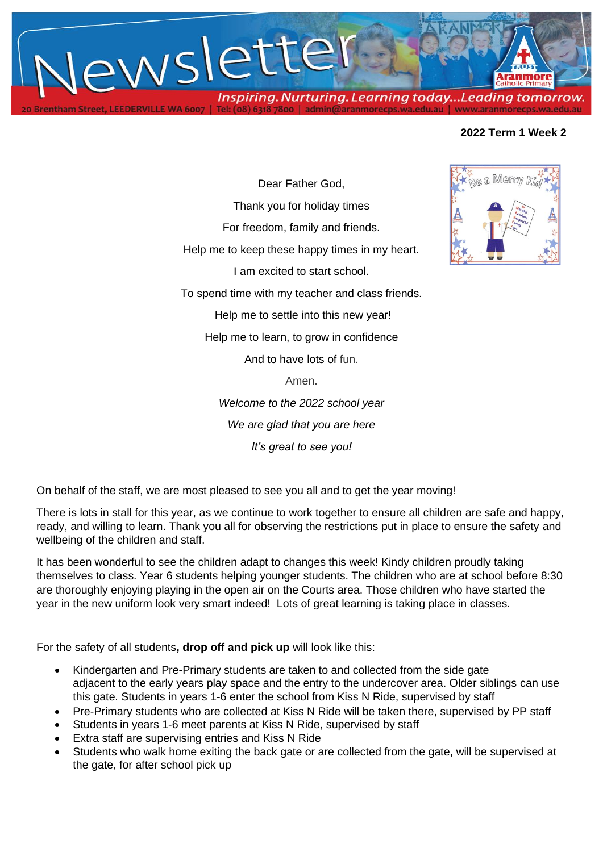

# **2022 Term 1 Week 2**

Dear Father God, Thank you for holiday times For freedom, family and friends. Help me to keep these happy times in my heart. I am excited to start school. To spend time with my teacher and class friends. Help me to settle into this new year! Help me to learn, to grow in confidence And to have lots of fun.

Amen.

*Welcome to the 2022 school year We are glad that you are here It's great to see you!*

On behalf of the staff, we are most pleased to see you all and to get the year moving!

There is lots in stall for this year, as we continue to work together to ensure all children are safe and happy, ready, and willing to learn. Thank you all for observing the restrictions put in place to ensure the safety and wellbeing of the children and staff.

It has been wonderful to see the children adapt to changes this week! Kindy children proudly taking themselves to class. Year 6 students helping younger students. The children who are at school before 8:30 are thoroughly enjoying playing in the open air on the Courts area. Those children who have started the year in the new uniform look very smart indeed! Lots of great learning is taking place in classes.

For the safety of all students**, drop off and pick up** will look like this:

- Kindergarten and Pre-Primary students are taken to and collected from the side gate adjacent to the early years play space and the entry to the undercover area. Older siblings can use this gate. Students in years 1-6 enter the school from Kiss N Ride, supervised by staff
- Pre-Primary students who are collected at Kiss N Ride will be taken there, supervised by PP staff
- Students in years 1-6 meet parents at Kiss N Ride, supervised by staff
- Extra staff are supervising entries and Kiss N Ride
- Students who walk home exiting the back gate or are collected from the gate, will be supervised at the gate, for after school pick up

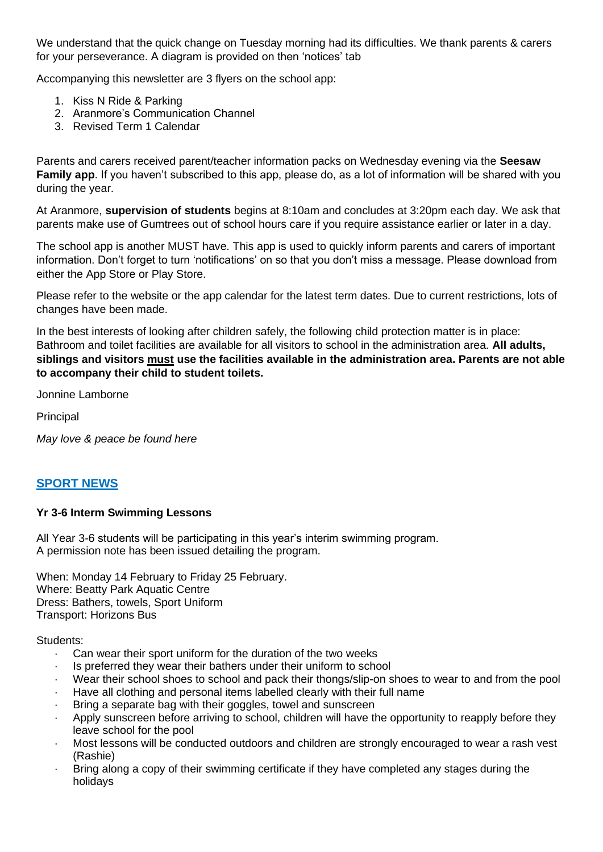We understand that the quick change on Tuesday morning had its difficulties. We thank parents & carers for your perseverance. A diagram is provided on then 'notices' tab

Accompanying this newsletter are 3 flyers on the school app:

- 1. Kiss N Ride & Parking
- 2. Aranmore's Communication Channel
- 3. Revised Term 1 Calendar

Parents and carers received parent/teacher information packs on Wednesday evening via the **Seesaw Family app**. If you haven't subscribed to this app, please do, as a lot of information will be shared with you during the year.

At Aranmore, **supervision of students** begins at 8:10am and concludes at 3:20pm each day. We ask that parents make use of Gumtrees out of school hours care if you require assistance earlier or later in a day.

The school app is another MUST have. This app is used to quickly inform parents and carers of important information. Don't forget to turn 'notifications' on so that you don't miss a message. Please download from either the App Store or Play Store.

Please refer to the website or the app calendar for the latest term dates. Due to current restrictions, lots of changes have been made.

In the best interests of looking after children safely, the following child protection matter is in place: Bathroom and toilet facilities are available for all visitors to school in the administration area. **All adults, siblings and visitors must use the facilities available in the administration area. Parents are not able to accompany their child to student toilets.**

Jonnine Lamborne

**Principal** 

*May love & peace be found here*

# **SPORT NEWS**

### **Yr 3-6 Interm Swimming Lessons**

All Year 3-6 students will be participating in this year's interim swimming program. A permission note has been issued detailing the program.

When: Monday 14 February to Friday 25 February. Where: Beatty Park Aquatic Centre Dress: Bathers, towels, Sport Uniform Transport: Horizons Bus

Students:

- Can wear their sport uniform for the duration of the two weeks
- Is preferred they wear their bathers under their uniform to school
- Wear their school shoes to school and pack their thongs/slip-on shoes to wear to and from the pool
- · Have all clothing and personal items labelled clearly with their full name
- Bring a separate bag with their goggles, towel and sunscreen
- Apply sunscreen before arriving to school, children will have the opportunity to reapply before they leave school for the pool
- · Most lessons will be conducted outdoors and children are strongly encouraged to wear a rash vest (Rashie)
- Bring along a copy of their swimming certificate if they have completed any stages during the holidays